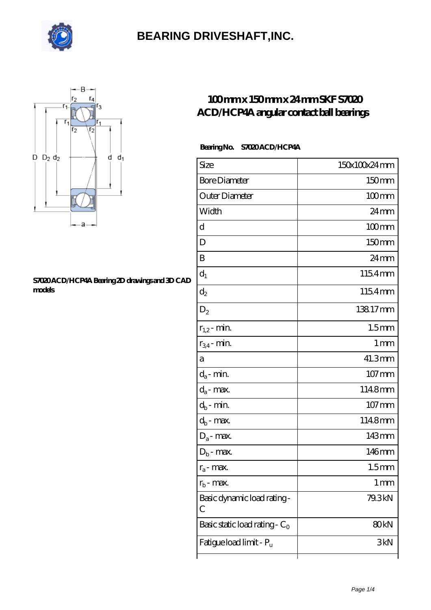



#### **[S7020 ACD/HCP4A Bearing 2D drawings and 3D CAD](https://visionsofzosimos.net/pic-65124363.html) [models](https://visionsofzosimos.net/pic-65124363.html)**

### **[100 mm x 150 mm x 24 mm SKF S7020](https://visionsofzosimos.net/skf-s7020-acd-hcp4a-bearing/) [ACD/HCP4A angular contact ball bearings](https://visionsofzosimos.net/skf-s7020-acd-hcp4a-bearing/)**

#### **Bearing No. S7020 ACD/HCP4A**

| Size                             | 150x100x24mm       |
|----------------------------------|--------------------|
| <b>Bore Diameter</b>             | 150mm              |
| Outer Diameter                   | $100$ mm           |
| Width                            | $24 \,\mathrm{mm}$ |
| d                                | $100$ mm           |
| D                                | 150mm              |
| B                                | $24 \,\mathrm{mm}$ |
| $d_1$                            | 1154mm             |
| $\mathrm{d}_2$                   | 1154mm             |
| $D_2$                            | 13817mm            |
| $r_{1,2}$ - min.                 | 1.5 <sub>mm</sub>  |
| $r_{34}$ - min.                  | 1 mm               |
| а                                | 41.3mm             |
| $d_a$ - min.                     | 107 mm             |
| $d_{\boldsymbol{a}}$ - max.      | 1148mm             |
| $d_b$ - min.                     | $107$ mm           |
| $d_b$ - max.                     | 1148mm             |
| $D_a$ - max.                     | 143mm              |
| $D_b$ - max.                     | 146mm              |
| $r_a$ - max.                     | 1.5 <sub>mm</sub>  |
| $r_{\rm b}$ - max.               | $1 \,\mathrm{mm}$  |
| Basic dynamic load rating-<br>С  | 79.3kN             |
| Basic static load rating - $C_0$ | 80 <sub>kN</sub>   |
| Fatigue load limit - Pu          | 3kN                |
|                                  |                    |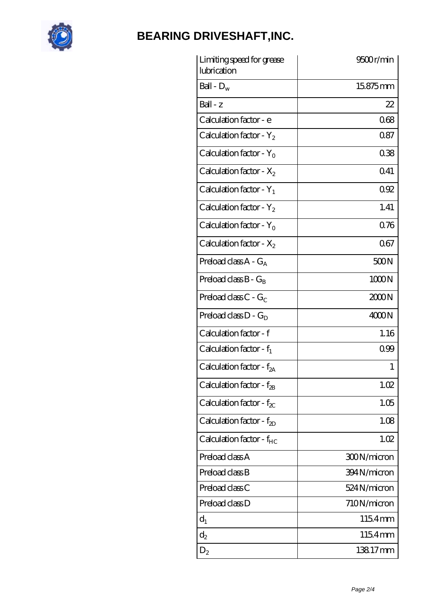

| Limiting speed for grease<br>lubrication | 9500r/min   |
|------------------------------------------|-------------|
| Ball - $D_w$                             | 15875mm     |
| $Ball - z$                               | 22          |
| Calculation factor - e                   | 068         |
| Calculation factor - $Y_2$               | 0.87        |
| Calculation factor - $Y_0$               | 038         |
| Calculation factor - $X_2$               | 0.41        |
| Calculation factor - $Y_1$               | 092         |
| Calculation factor - $Y_2$               | 1.41        |
| Calculation factor - $Y_0$               | 0.76        |
| Calculation factor - $X_2$               | 067         |
| Preload class $A - G_A$                  | 500N        |
| Preload class $B - G_B$                  | 1000N       |
| Preload class $C$ - $G_C$                | 2000N       |
| Preload class $D - G_D$                  | 4000N       |
| Calculation factor - f                   | 1.16        |
| Calculation factor - $f_1$               | 099         |
| Calculation factor - f <sub>2A</sub>     | 1           |
| Calculation factor - $f_{2B}$            | 1.02        |
| Calculation factor - $f_{\chi}$          | 1.05        |
| Calculation factor - $f_{ZD}$            | 1.08        |
| Calculation factor - $f_{HC}$            | 1.02        |
| Preload class A                          | 300N/micron |
| Preload class B                          | 394N/micron |
| Preload class C                          | 524N/micron |
| Preload class D                          | 710N/micron |
| $d_1$                                    | 1154mm      |
| $\mathrm{d}_2$                           | 1154mm      |
| $D_2$                                    | 13817mm     |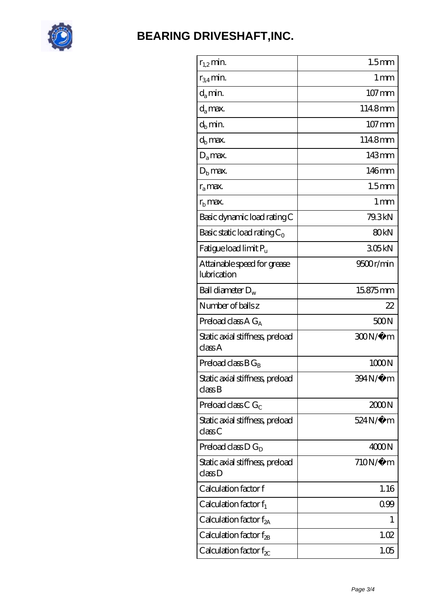

| $r_{1,2}$ min.                             | 1.5 <sub>mm</sub>   |
|--------------------------------------------|---------------------|
| $r_{34}$ min.                              | 1 mm                |
| $d_{a}$ min.                               | $107 \,\mathrm{mm}$ |
| $d_a$ max.                                 | 1148mm              |
| $d_b$ min.                                 | 107 mm              |
| $d_h$ max.                                 | 1148mm              |
| $D_a$ max.                                 | 143mm               |
| $D_{b}$ max.                               | 146mm               |
| $r_a$ max.                                 | 1.5 <sub>mm</sub>   |
| $r_{\rm h}$ max.                           | $1 \,\mathrm{mm}$   |
| Basic dynamic load rating C                | 79.3kN              |
| Basic static load rating $C_0$             | 80 <sub>kN</sub>    |
| Fatigue load limit P <sub>u</sub>          | 305kN               |
| Attainable speed for grease<br>lubrication | 9500r/min           |
| Ball diameter $D_w$                        | 15875mm             |
| Number of balls z                          | 22                  |
| Preload class $AG_A$                       | 500N                |
| Static axial stiffness, preload<br>classA  | 300N/μ m            |
| Preload class $BG_B$                       | 1000N               |
| Static axial stiffness, preload<br>classB  | 394N/µ m            |
| Preload class $CG_C$                       | 200N                |
| Static axial stiffness, preload<br>classC  | 524N/µ m            |
| Preload class $D G_D$                      | 4000N               |
| Static axial stiffness, preload<br>classD  | $710N/\mu$ m        |
| Calculation factor f                       | 1.16                |
| Calculation factor $f_1$                   | 0.99                |
| Calculation factor $f_{2A}$                | 1                   |
| Calculation factor $f_{\rm 2B}$            | 1.02                |
| Calculation factor $f_{\chi}$              | 1.05                |